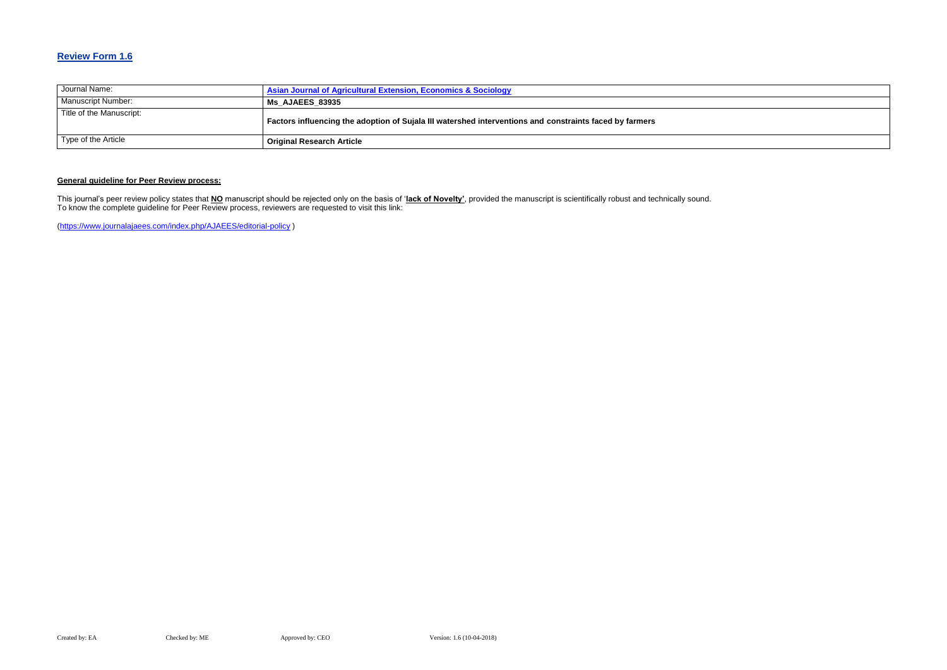## **Review Form 1.6**

| Journal Name:             | Asian Journal of Agricultural Extension, Economics & Sociology                                          |
|---------------------------|---------------------------------------------------------------------------------------------------------|
| <b>Manuscript Number:</b> | <b>Ms AJAEES 83935</b>                                                                                  |
| Title of the Manuscript:  | Factors influencing the adoption of Sujala III watershed interventions and constraints faced by farmers |
| Type of the Article       | <b>Original Research Article</b>                                                                        |

### **General guideline for Peer Review process:**

This journal's peer review policy states that **NO** manuscript should be rejected only on the basis of '**lack of Novelty'**, provided the manuscript is scientifically robust and technically sound. To know the complete guideline for Peer Review process, reviewers are requested to visit this link:

[\(https://www.journalajaees.com/index.php/AJAEES/editorial-policy](https://www.journalajaees.com/index.php/AJAEES/editorial-policy) )

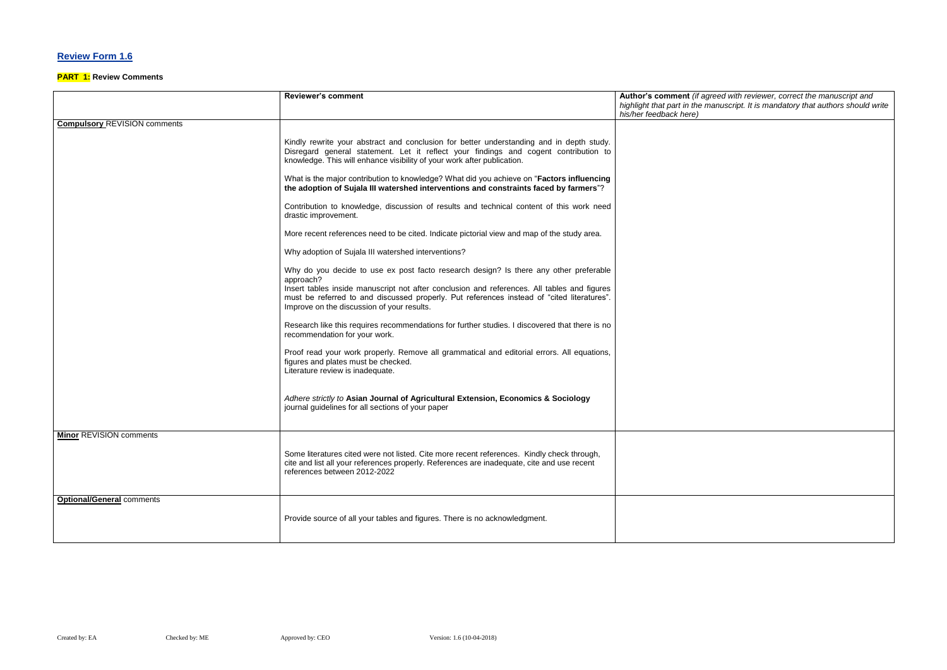## **Review Form 1.6**

#### **PART 1: Review Comments**

#### $\epsilon$  *Reed with reviewer, correct the manuscript and highlight that part in the manuscript. It is mandatory that authors should write*

|                                     | <b>Reviewer's comment</b>                                                                                                                                                                                                                                                                                                                     | Author's comment (if agree                              |
|-------------------------------------|-----------------------------------------------------------------------------------------------------------------------------------------------------------------------------------------------------------------------------------------------------------------------------------------------------------------------------------------------|---------------------------------------------------------|
|                                     |                                                                                                                                                                                                                                                                                                                                               | highlight that part in the ma<br>his/her feedback here) |
| <b>Compulsory REVISION comments</b> |                                                                                                                                                                                                                                                                                                                                               |                                                         |
|                                     | Kindly rewrite your abstract and conclusion for better understanding and in depth study.<br>Disregard general statement. Let it reflect your findings and cogent contribution to<br>knowledge. This will enhance visibility of your work after publication.                                                                                   |                                                         |
|                                     | What is the major contribution to knowledge? What did you achieve on "Factors influencing<br>the adoption of Sujala III watershed interventions and constraints faced by farmers"?                                                                                                                                                            |                                                         |
|                                     | Contribution to knowledge, discussion of results and technical content of this work need<br>drastic improvement.                                                                                                                                                                                                                              |                                                         |
|                                     | More recent references need to be cited. Indicate pictorial view and map of the study area.                                                                                                                                                                                                                                                   |                                                         |
|                                     | Why adoption of Sujala III watershed interventions?                                                                                                                                                                                                                                                                                           |                                                         |
|                                     | Why do you decide to use ex post facto research design? Is there any other preferable<br>approach?<br>Insert tables inside manuscript not after conclusion and references. All tables and figures<br>must be referred to and discussed properly. Put references instead of "cited literatures".<br>Improve on the discussion of your results. |                                                         |
|                                     | Research like this requires recommendations for further studies. I discovered that there is no<br>recommendation for your work.                                                                                                                                                                                                               |                                                         |
|                                     | Proof read your work properly. Remove all grammatical and editorial errors. All equations,<br>figures and plates must be checked.<br>Literature review is inadequate.                                                                                                                                                                         |                                                         |
|                                     | Adhere strictly to Asian Journal of Agricultural Extension, Economics & Sociology<br>journal guidelines for all sections of your paper                                                                                                                                                                                                        |                                                         |
| <b>Minor REVISION comments</b>      |                                                                                                                                                                                                                                                                                                                                               |                                                         |
|                                     | Some literatures cited were not listed. Cite more recent references. Kindly check through,<br>cite and list all your references properly. References are inadequate, cite and use recent<br>references between 2012-2022                                                                                                                      |                                                         |
| <b>Optional/General comments</b>    | Provide source of all your tables and figures. There is no acknowledgment.                                                                                                                                                                                                                                                                    |                                                         |
|                                     |                                                                                                                                                                                                                                                                                                                                               |                                                         |